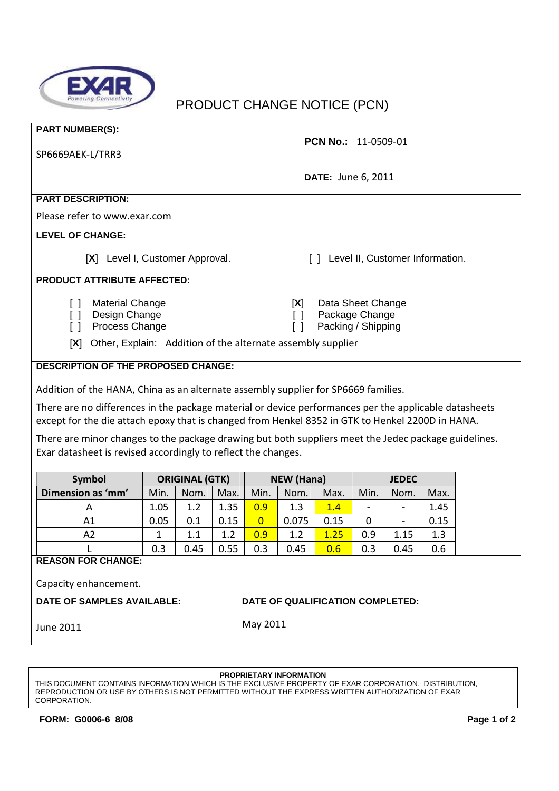

## PRODUCT CHANGE NOTICE (PCN)

| <b>PART NUMBER(S):</b>                                                                                                                                                                                    |                                     |  |  |  |  |  |  |
|-----------------------------------------------------------------------------------------------------------------------------------------------------------------------------------------------------------|-------------------------------------|--|--|--|--|--|--|
| SP6669AEK-L/TRR3                                                                                                                                                                                          | <b>PCN No.: 11-0509-01</b>          |  |  |  |  |  |  |
|                                                                                                                                                                                                           |                                     |  |  |  |  |  |  |
|                                                                                                                                                                                                           | <b>DATE: June 6, 2011</b>           |  |  |  |  |  |  |
| <b>PART DESCRIPTION:</b>                                                                                                                                                                                  |                                     |  |  |  |  |  |  |
| Please refer to www.exar.com                                                                                                                                                                              |                                     |  |  |  |  |  |  |
| <b>LEVEL OF CHANGE:</b>                                                                                                                                                                                   |                                     |  |  |  |  |  |  |
| [X] Level I, Customer Approval.                                                                                                                                                                           | [ ] Level II, Customer Information. |  |  |  |  |  |  |
| <b>PRODUCT ATTRIBUTE AFFECTED:</b>                                                                                                                                                                        |                                     |  |  |  |  |  |  |
| <b>Material Change</b><br>Γl                                                                                                                                                                              | Data Sheet Change<br>[X]            |  |  |  |  |  |  |
| Design Change<br>$\lceil$ $\rceil$                                                                                                                                                                        | Package Change<br>$\Box$            |  |  |  |  |  |  |
| Process Change<br>ſΙ                                                                                                                                                                                      | Packing / Shipping<br>$\Box$        |  |  |  |  |  |  |
| [X]<br>Other, Explain: Addition of the alternate assembly supplier                                                                                                                                        |                                     |  |  |  |  |  |  |
| <b>DESCRIPTION OF THE PROPOSED CHANGE:</b>                                                                                                                                                                |                                     |  |  |  |  |  |  |
| Addition of the HANA, China as an alternate assembly supplier for SP6669 families.                                                                                                                        |                                     |  |  |  |  |  |  |
| There are no differences in the package material or device performances per the applicable datasheets<br>except for the die attach epoxy that is changed from Henkel 8352 in GTK to Henkel 2200D in HANA. |                                     |  |  |  |  |  |  |
| There are minor changes to the package drawing but both suppliers meet the Jedec package guidelines.<br>Exar datasheet is revised accordingly to reflect the changes.                                     |                                     |  |  |  |  |  |  |

| Symbol                            | <b>ORIGINAL (GTK)</b> |         | NEW (Hana) |                                  |       | <b>JEDEC</b> |      |      |      |
|-----------------------------------|-----------------------|---------|------------|----------------------------------|-------|--------------|------|------|------|
| Dimension as 'mm'                 | Min.                  | Nom.    | Max.       | Min.                             | Nom.  | Max.         | Min. | Nom. | Max. |
| A                                 | 1.05                  | 1.2     | 1.35       | 0.9                              | 1.3   | 1.4          |      |      | 1.45 |
| A1                                | 0.05                  | 0.1     | 0.15       | $\overline{0}$                   | 0.075 | 0.15         | 0    |      | 0.15 |
| A2                                |                       | $1.1\,$ | 1.2        | 0.9                              | 1.2   | 1.25         | 0.9  | 1.15 | 1.3  |
|                                   | 0.3                   | 0.45    | 0.55       | 0.3                              | 0.45  | 0.6          | 0.3  | 0.45 | 0.6  |
| <b>REASON FOR CHANGE:</b>         |                       |         |            |                                  |       |              |      |      |      |
| Capacity enhancement.             |                       |         |            |                                  |       |              |      |      |      |
| <b>DATE OF SAMPLES AVAILABLE:</b> |                       |         |            | DATE OF QUALIFICATION COMPLETED: |       |              |      |      |      |

June 2011

May 2011

## **PROPRIETARY INFORMATION**

THIS DOCUMENT CONTAINS INFORMATION WHICH IS THE EXCLUSIVE PROPERTY OF EXAR CORPORATION. DISTRIBUTION, REPRODUCTION OR USE BY OTHERS IS NOT PERMITTED WITHOUT THE EXPRESS WRITTEN AUTHORIZATION OF EXAR CORPORATION.